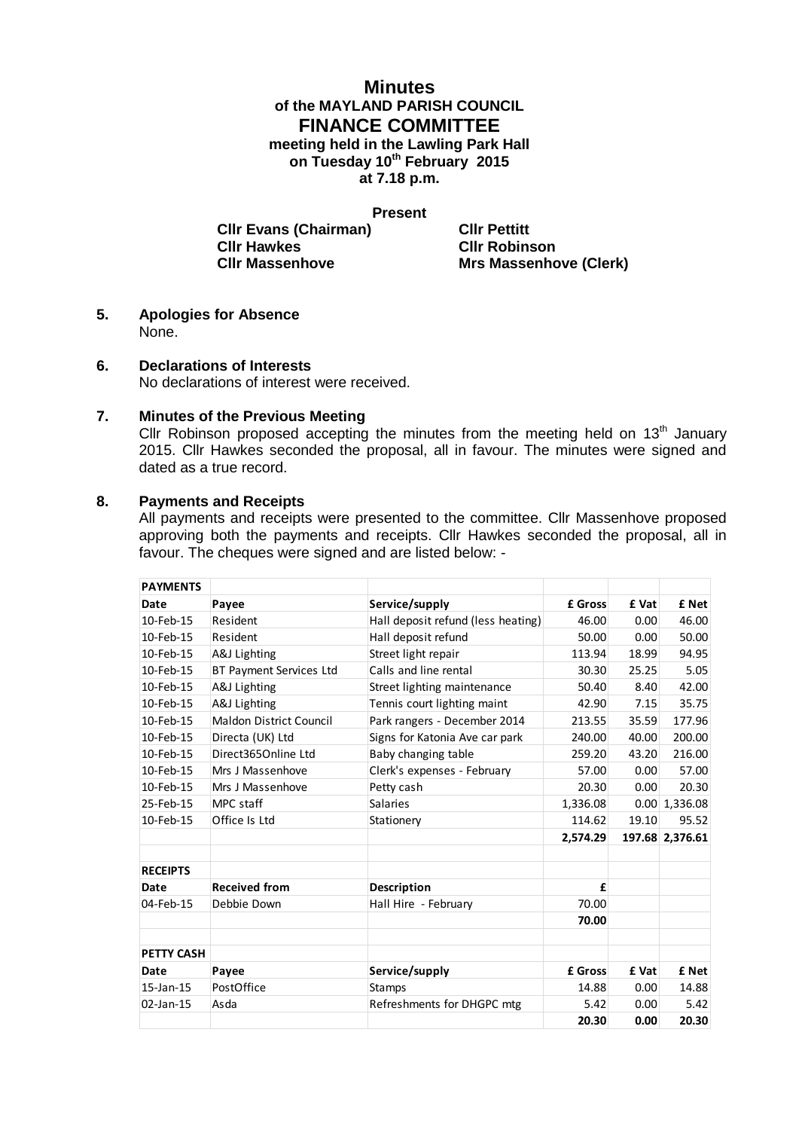# **Minutes of the MAYLAND PARISH COUNCIL FINANCE COMMITTEE meeting held in the Lawling Park Hall**

**on Tuesday 10th February 2015**

**at 7.18 p.m.**

#### **Present**

**Clir Evans (Chairman) Clir Pettitt Clir Hawkes Clir Robins Cllr Hawkes Cllr Robinson**

**Cllr Massenhove Mrs Massenhove (Clerk)**

**5. Apologies for Absence** None.

## **6. Declarations of Interests**

No declarations of interest were received.

### **7. Minutes of the Previous Meeting**

Cllr Robinson proposed accepting the minutes from the meeting held on  $13<sup>th</sup>$  January 2015. Cllr Hawkes seconded the proposal, all in favour. The minutes were signed and dated as a true record.

### **8. Payments and Receipts**

All payments and receipts were presented to the committee. Cllr Massenhove proposed approving both the payments and receipts. Cllr Hawkes seconded the proposal, all in favour. The cheques were signed and are listed below: -

| <b>PAYMENTS</b>   |                         |                                    |          |       |                      |
|-------------------|-------------------------|------------------------------------|----------|-------|----------------------|
| Date              | Payee                   | Service/supply                     | £ Gross  | £ Vat | £ Net                |
| 10-Feb-15         | Resident                | Hall deposit refund (less heating) | 46.00    | 0.00  | 46.00                |
| 10-Feb-15         | Resident                | Hall deposit refund                | 50.00    | 0.00  | 50.00                |
| 10-Feb-15         | A&J Lighting            | Street light repair                | 113.94   | 18.99 | 94.95                |
| 10-Feb-15         | BT Payment Services Ltd | Calls and line rental              | 30.30    | 25.25 | 5.05                 |
| 10-Feb-15         | A&J Lighting            | Street lighting maintenance        | 50.40    | 8.40  | 42.00                |
| 10-Feb-15         | A&J Lighting            | Tennis court lighting maint        | 42.90    | 7.15  | 35.75                |
| 10-Feb-15         | Maldon District Council | Park rangers - December 2014       | 213.55   | 35.59 | 177.96               |
| 10-Feb-15         | Directa (UK) Ltd        | Signs for Katonia Ave car park     | 240.00   | 40.00 | 200.00               |
| 10-Feb-15         | Direct365Online Ltd     | Baby changing table                | 259.20   | 43.20 | 216.00               |
| 10-Feb-15         | Mrs J Massenhove        | Clerk's expenses - February        | 57.00    | 0.00  | 57.00                |
| 10-Feb-15         | Mrs J Massenhove        | Petty cash                         | 20.30    | 0.00  | 20.30                |
| 25-Feb-15         | MPC staff               | <b>Salaries</b>                    | 1,336.08 |       | $0.00 \mid 1,336.08$ |
| 10-Feb-15         | Office Is Ltd           | Stationery                         | 114.62   | 19.10 | 95.52                |
|                   |                         |                                    | 2,574.29 |       | 197.68 2,376.61      |
| <b>RECEIPTS</b>   |                         |                                    |          |       |                      |
| Date              | <b>Received from</b>    | <b>Description</b>                 | £        |       |                      |
| 04-Feb-15         | Debbie Down             | Hall Hire - February               | 70.00    |       |                      |
|                   |                         |                                    | 70.00    |       |                      |
| <b>PETTY CASH</b> |                         |                                    |          |       |                      |
| Date              | Payee                   | Service/supply                     | £ Gross  | £ Vat | £ Net                |
| 15-Jan-15         | PostOffice              | <b>Stamps</b>                      | 14.88    | 0.00  | 14.88                |
| 02-Jan-15         | Asda                    | Refreshments for DHGPC mtg         | 5.42     | 0.00  | 5.42                 |
|                   |                         |                                    | 20.30    | 0.00  | 20.30                |